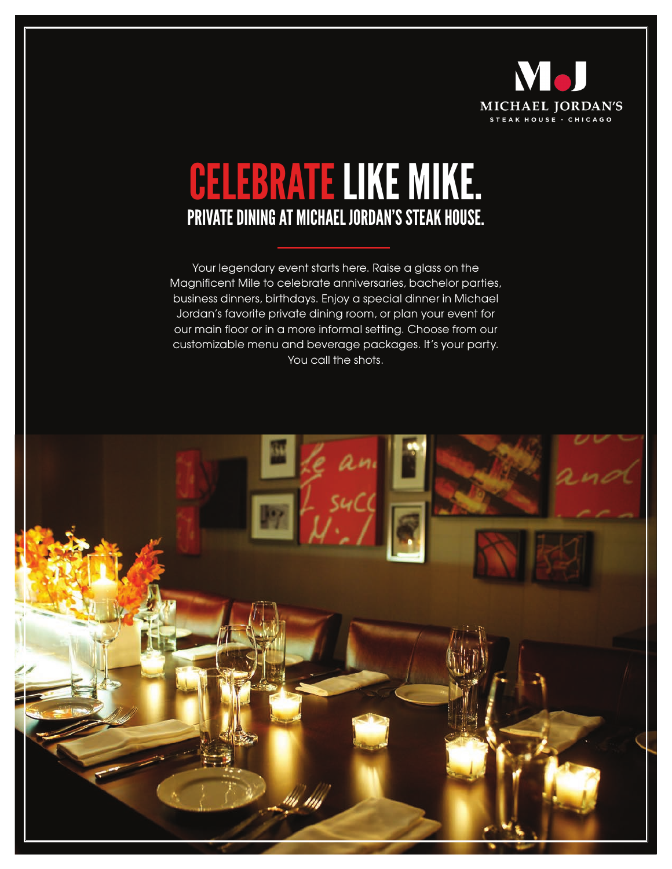

## CELEBRATE LIKE MIKE. PRIVATE DINING AT MICHAEL JORDAN'S STEAK HOUSE.

Your legendary event starts here. Raise a glass on the Magnificent Mile to celebrate anniversaries, bachelor parties, business dinners, birthdays. Enjoy a special dinner in Michael Jordan's favorite private dining room, or plan your event for our main floor or in a more informal setting. Choose from our customizable menu and beverage packages. It's your party. You call the shots.

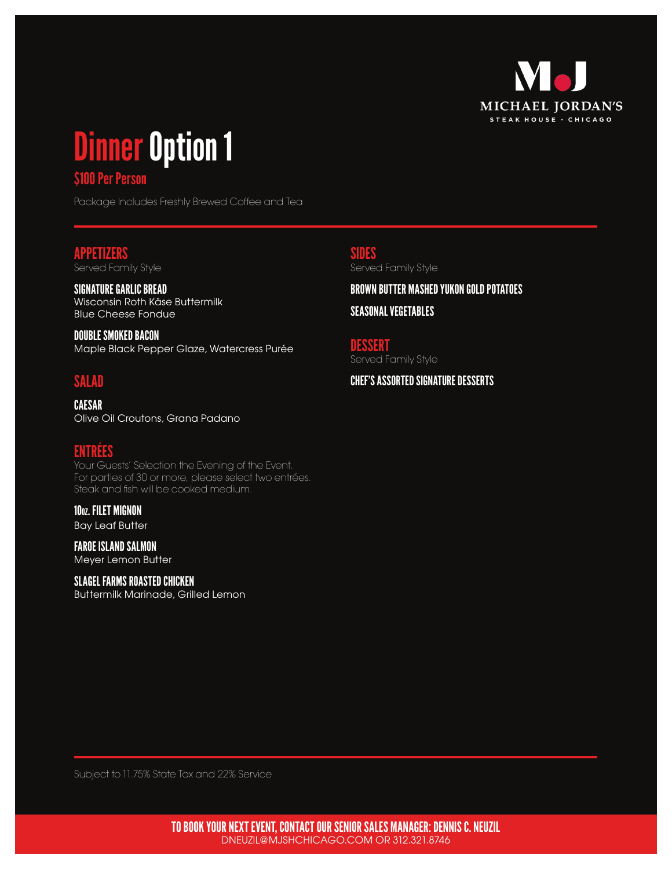

# Dinner Option 1

## \$100 Per Person

Package Includes Freshly Brewed Coffee and Tea

## APPETIZERS

Served Family Style

SIGNATURE GARLIC BREAD Wisconsin Roth Käse Buttermilk Blue Cheese Fondue

DOUBLE SMOKED BACON Maple Black Pepper Glaze, Watercress Purée

## SALAD

CAESAR Olive Oil Croutons, Grana Padano

## ENTRÉES

Your Guests' Selection the Evening of the Event. For parties of 30 or more, please select two entrées. Steak and fish will be cooked medium.

10oz. FILET MIGNON Bay Leaf Butter

FAROE ISLAND SALMON Meyer Lemon Butter

#### SLAGEL FARMS ROASTED CHICKEN

Buttermilk Marinade, Grilled Lemon

SIDES Served Family Style

BROWN BUTTER MASHED YUKON GOLD POTATOES

SEASONAL VEGETABLES

DESSERT Served Family Style

CHEF'S ASSORTED SIGNATURE DESSERTS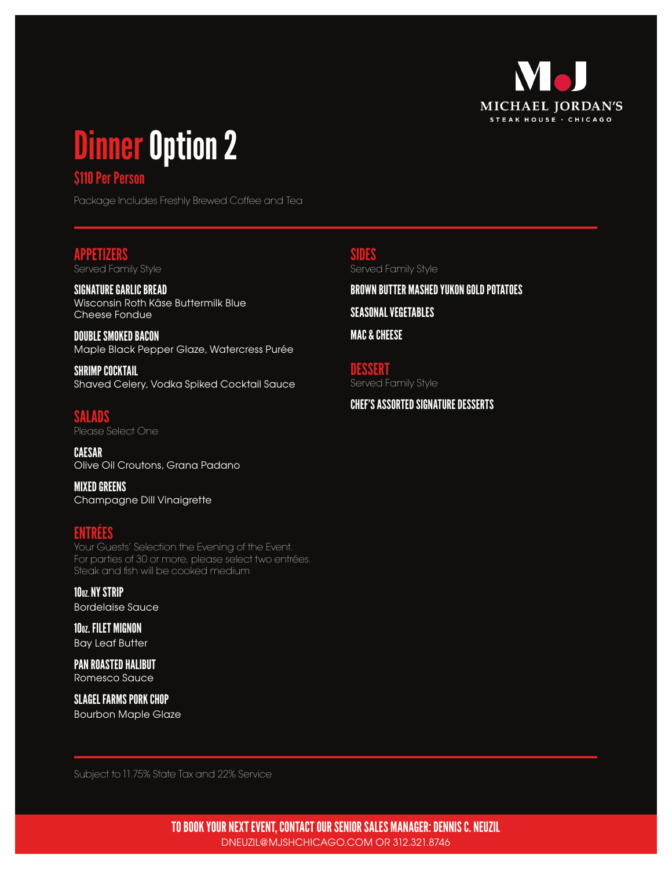

## Dinner Option 2

## \$110 Per Person

Package Includes Freshly Brewed Coffee and Tea

## APPETIZERS

Served Family Style

SIGNATURE GARLIC BREAD Wisconsin Roth Käse Buttermilk Blue Cheese Fondue

DOUBLE SMOKED BACON Maple Black Pepper Glaze, Watercress Purée

SHRIMP COCKTAIL Shaved Celery, Vodka Spiked Cocktail Sauce

SALADS Please Select One

CAESAR Olive Oil Croutons, Grana Padano

MIXED GREENS Champagne Dill Vinaigrette

## ENTRÉES

Your Guests' Selection the Evening of the Event. For parties of 30 or more, please select two entrées. Steak and fish will be cooked medium

10<sub>0Z.</sub> NY STRIP Bordelaise Sauce

10oz. FILET MIGNON Bay Leaf Butter

PAN ROASTED HALIBUT Romesco Sauce

SLAGEL FARMS PORK CHOP Bourbon Maple Glaze

SIDES Served Family Style

BROWN BUTTER MASHED YUKON GOLD POTATOES SEASONAL VEGETABLES

MAC & CHEESE

DESSERT Served Family Style

CHEF'S ASSORTED SIGNATURE DESSERTS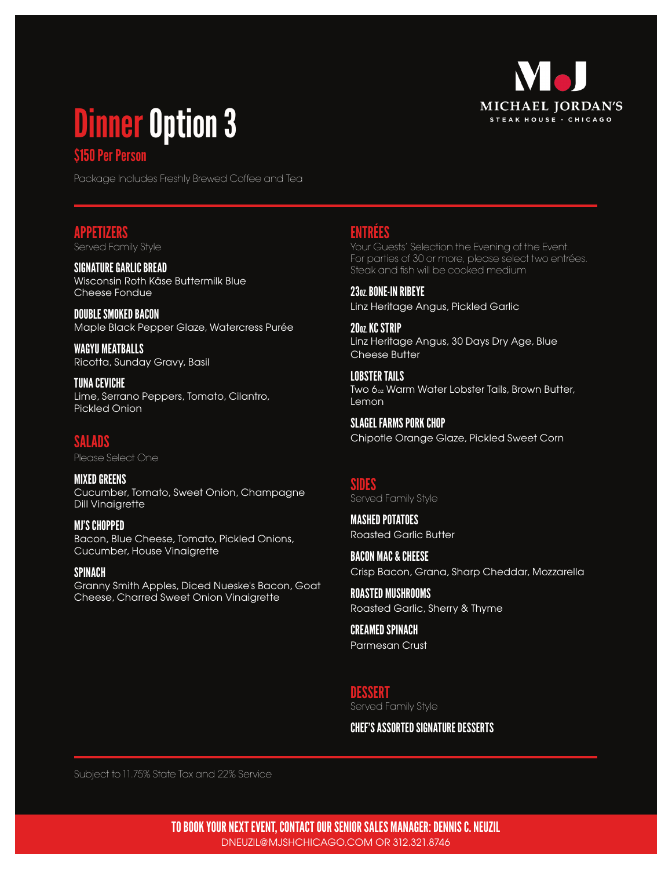

## Dinner Option 3

## \$150 Per Person

Package Includes Freshly Brewed Coffee and Tea

## APPETIZERS

Served Family Style

SIGNATURE GARLIC BREAD Wisconsin Roth Käse Buttermilk Blue Cheese Fondue

DOUBLE SMOKED BACON Maple Black Pepper Glaze, Watercress Purée

WAGYU MEATBALLS Ricotta, Sunday Gravy, Basil

TUNA CEVICHE Lime, Serrano Peppers, Tomato, Cilantro, Pickled Onion

## SALADS

Please Select One

MIXED GREENS Cucumber, Tomato, Sweet Onion, Champagne Dill Vinaigrette

MJ'S CHOPPED Bacon, Blue Cheese, Tomato, Pickled Onions, Cucumber, House Vinaigrette

SPINACH Granny Smith Apples, Diced Nueske's Bacon, Goat Cheese, Charred Sweet Onion Vinaigrette

## ENTRÉES

Your Guests' Selection the Evening of the Event. For parties of 30 or more, please select two entrées. Steak and fish will be cooked medium

2307 BONE-IN RIBEYE Linz Heritage Angus, Pickled Garlic

2007 KC STRIP Linz Heritage Angus, 30 Days Dry Age, Blue Cheese Butter

LOBSTER TAILS Two 6oz Warm Water Lobster Tails, Brown Butter, Lemon

SLAGEL FARMS PORK CHOP Chipotle Orange Glaze, Pickled Sweet Corn

#### SIDES Served Family Style

MASHED POTATOES Roasted Garlic Butter

BACON MAC & CHEESE Crisp Bacon, Grana, Sharp Cheddar, Mozzarella

ROASTED MUSHROOMS Roasted Garlic, Sherry & Thyme

CREAMED SPINACH Parmesan Crust

DESSERT Served Family Style

CHEF'S ASSORTED SIGNATURE DESSERTS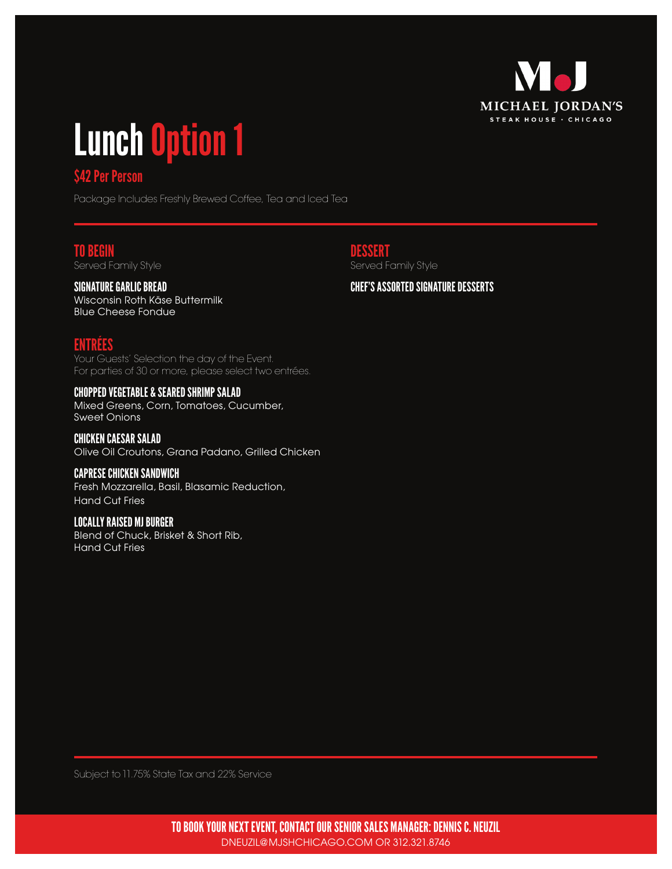

# Lunch Option 1

## **\$42 Per Person**

Package Includes Freshly Brewed Coffee, Tea and Iced Tea

### TO BEGIN

Served Family Style

## SIGNATURE GARLIC BREAD

Wisconsin Roth Käse Buttermilk Blue Cheese Fondue

## ENTRÉES

Your Guests' Selection the day of the Event. For parties of 30 or more, please select two entrées.

#### CHOPPED VEGETABLE & SEARED SHRIMP SALAD

Mixed Greens, Corn, Tomatoes, Cucumber, Sweet Onions

CHICKEN CAESAR SALAD Olive Oil Croutons, Grana Padano, Grilled Chicken

#### CAPRESE CHICKEN SANDWICH

Fresh Mozzarella, Basil, Blasamic Reduction, Hand Cut Fries

#### LOCALLY RAISED MJ BURGER

Blend of Chuck, Brisket & Short Rib, Hand Cut Fries

DESSERT Served Family Style

#### CHEF'S ASSORTED SIGNATURE DESSERTS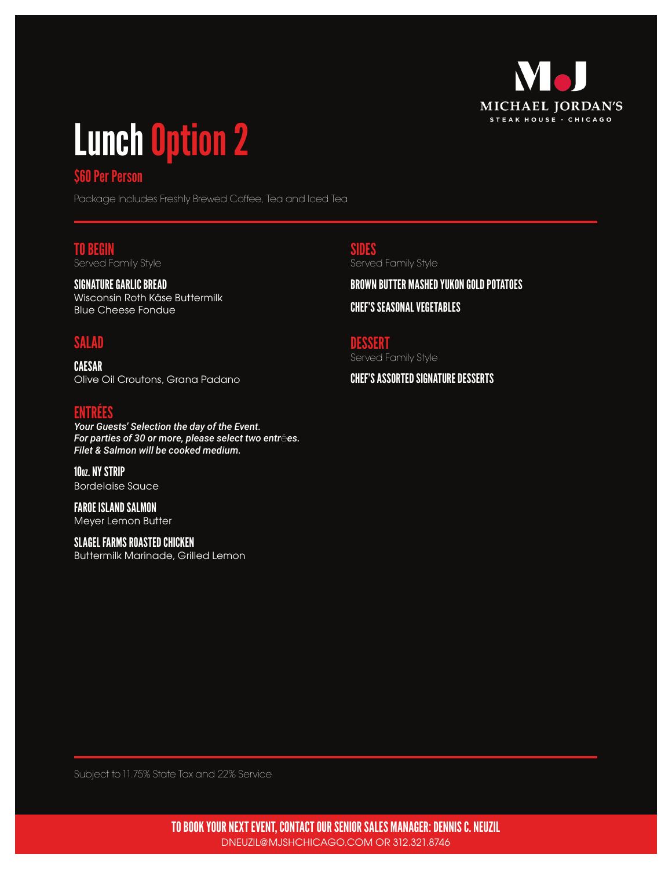

## Lunch Option 2

## \$60 Per Person

Package Includes Freshly Brewed Coffee, Tea and Iced Tea

#### TO BEGIN Served Family Style

SIGNATURE GARLIC BREAD Wisconsin Roth Käse Buttermilk Blue Cheese Fondue

## SALAD

CAESAR Olive Oil Croutons, Grana Padano

## ENTRÉES

*Your Guests' Selection the day of the Event. For parties of 30 or more, please select two entr*é*es. Filet & Salmon will be cooked medium.*

10oz. NY STRIP Bordelaise Sauce

FAROE ISLAND SALMON Meyer Lemon Butter

SLAGEL FARMS ROASTED CHICKEN Buttermilk Marinade, Grilled Lemon SIDES Served Family Style

BROWN BUTTER MASHED YUKON GOLD POTATOES CHEF'S SEASONAL VEGETABLES

DESSERT Served Family Style

CHEF'S ASSORTED SIGNATURE DESSERTS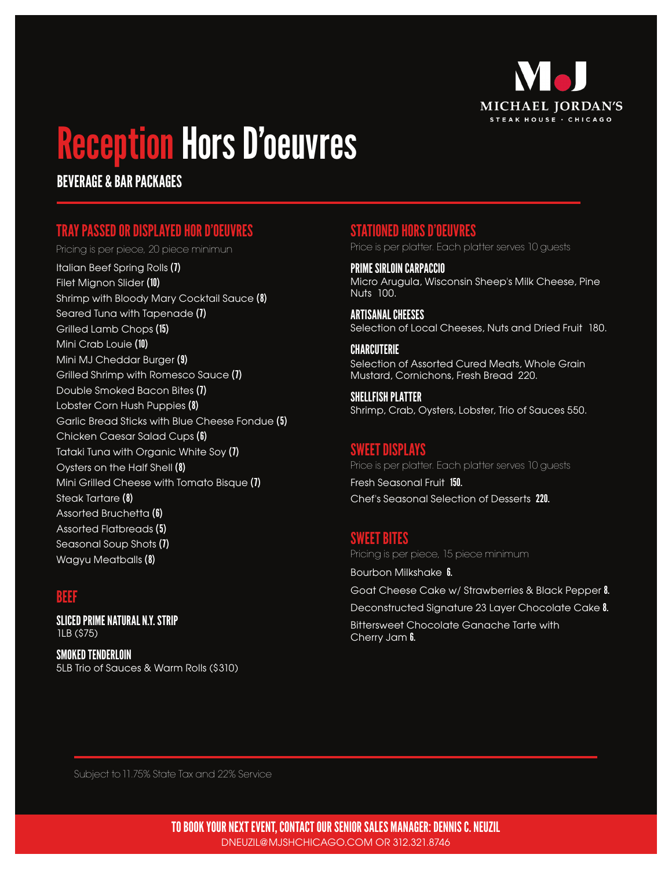

## Reception Hors D'oeuvres

BEVERAGE & BAR PACKAGES

## TRAY PASSED OR DISPLAYED HOR D'OEUVRES

Pricing is per piece, 20 piece minimun

Italian Beef Spring Rolls (7) Filet Mignon Slider (10) Shrimp with Bloody Mary Cocktail Sauce (8) Seared Tuna with Tapenade (7) Grilled Lamb Chops (15) Mini Crab Louie (10) Mini MJ Cheddar Burger (9) Grilled Shrimp with Romesco Sauce (7) Double Smoked Bacon Bites (7) Lobster Corn Hush Puppies (8) Garlic Bread Sticks with Blue Cheese Fondue (5) Chicken Caesar Salad Cups (6) Tataki Tuna with Organic White Soy (7) Oysters on the Half Shell (8) Mini Grilled Cheese with Tomato Bisque (7) Steak Tartare (8) Assorted Bruchetta (6) Assorted Flatbreads (5) Seasonal Soup Shots (7) Wagyu Meatballs (8)

## BEEF

SLICED PRIME NATURAL N.Y. STRIP 1LB (\$75)

SMOKED TENDERLOIN 5LB Trio of Sauces & Warm Rolls (\$310)

## STATIONED HORS D'OEUVRES

Price is per platter. Each platter serves 10 guests

PRIME SIRLOIN CARPACCIO Micro Arugula, Wisconsin Sheep's Milk Cheese, Pine Nuts 100.

ARTISANAL CHEESES Selection of Local Cheeses, Nuts and Dried Fruit 180.

#### CHARCUTERIE Selection of Assorted Cured Meats, Whole Grain Mustard, Cornichons, Fresh Bread 220.

SHELLFISH PLATTER Shrimp, Crab, Oysters, Lobster, Trio of Sauces 550.

## SWEET DISPLAYS

Price is per platter. Each platter serves 10 guests

Fresh Seasonal Fruit 150. Chef's Seasonal Selection of Desserts 220.

## SWEET BITES

Pricing is per piece, 15 piece minimum

Bourbon Milkshake 6. Goat Cheese Cake w/ Strawberries & Black Pepper 8. Deconstructed Signature 23 Layer Chocolate Cake 8. Bittersweet Chocolate Ganache Tarte with Cherry Jam **6.**